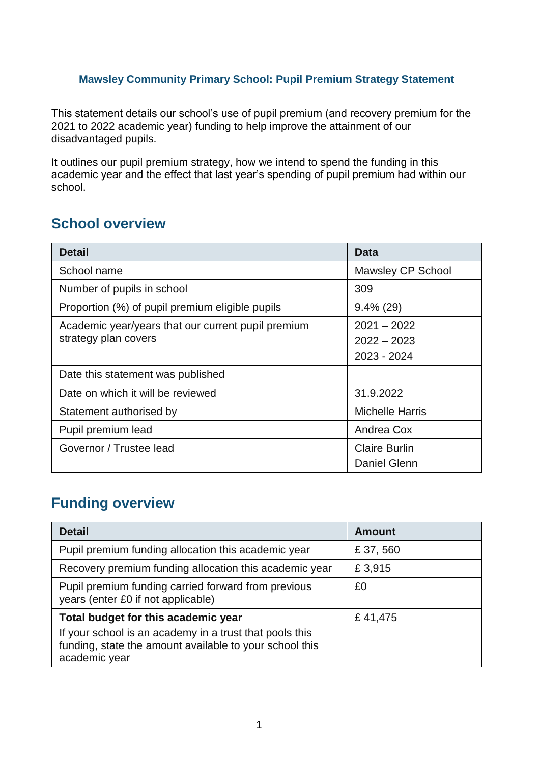#### **Mawsley Community Primary School: Pupil Premium Strategy Statement**

This statement details our school's use of pupil premium (and recovery premium for the 2021 to 2022 academic year) funding to help improve the attainment of our disadvantaged pupils.

It outlines our pupil premium strategy, how we intend to spend the funding in this academic year and the effect that last year's spending of pupil premium had within our school.

#### **School overview**

| <b>Detail</b>                                                              | <b>Data</b>                                   |
|----------------------------------------------------------------------------|-----------------------------------------------|
| School name                                                                | Mawsley CP School                             |
| Number of pupils in school                                                 | 309                                           |
| Proportion (%) of pupil premium eligible pupils                            | $9.4\%$ (29)                                  |
| Academic year/years that our current pupil premium<br>strategy plan covers | $2021 - 2022$<br>$2022 - 2023$<br>2023 - 2024 |
| Date this statement was published                                          |                                               |
| Date on which it will be reviewed                                          | 31.9.2022                                     |
| Statement authorised by                                                    | <b>Michelle Harris</b>                        |
| Pupil premium lead                                                         | Andrea Cox                                    |
| Governor / Trustee lead                                                    | <b>Claire Burlin</b><br><b>Daniel Glenn</b>   |

#### **Funding overview**

| <b>Detail</b>                                                                                                                       | <b>Amount</b> |
|-------------------------------------------------------------------------------------------------------------------------------------|---------------|
| Pupil premium funding allocation this academic year                                                                                 | £37,560       |
| Recovery premium funding allocation this academic year                                                                              | £3,915        |
| Pupil premium funding carried forward from previous<br>years (enter £0 if not applicable)                                           | £0            |
| Total budget for this academic year                                                                                                 | £41,475       |
| If your school is an academy in a trust that pools this<br>funding, state the amount available to your school this<br>academic year |               |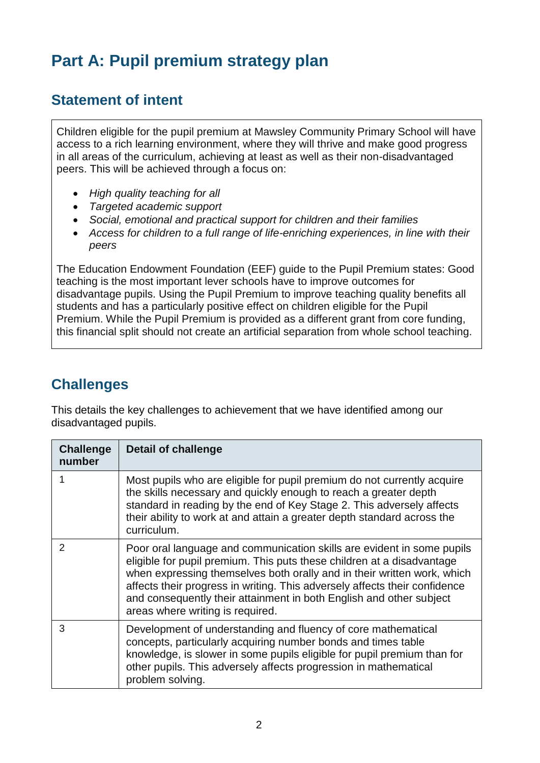# **Part A: Pupil premium strategy plan**

#### **Statement of intent**

Children eligible for the pupil premium at Mawsley Community Primary School will have access to a rich learning environment, where they will thrive and make good progress in all areas of the curriculum, achieving at least as well as their non-disadvantaged peers. This will be achieved through a focus on:

- *High quality teaching for all*
- *Targeted academic support*
- *Social, emotional and practical support for children and their families*
- *Access for children to a full range of life-enriching experiences, in line with their peers*

The Education Endowment Foundation (EEF) guide to the Pupil Premium states: Good teaching is the most important lever schools have to improve outcomes for disadvantage pupils. Using the Pupil Premium to improve teaching quality benefits all students and has a particularly positive effect on children eligible for the Pupil Premium. While the Pupil Premium is provided as a different grant from core funding, this financial split should not create an artificial separation from whole school teaching.

#### **Challenges**

This details the key challenges to achievement that we have identified among our disadvantaged pupils.

| <b>Challenge</b><br>number | <b>Detail of challenge</b>                                                                                                                                                                                                                                                                                                                                                                                           |
|----------------------------|----------------------------------------------------------------------------------------------------------------------------------------------------------------------------------------------------------------------------------------------------------------------------------------------------------------------------------------------------------------------------------------------------------------------|
|                            | Most pupils who are eligible for pupil premium do not currently acquire<br>the skills necessary and quickly enough to reach a greater depth<br>standard in reading by the end of Key Stage 2. This adversely affects<br>their ability to work at and attain a greater depth standard across the<br>curriculum.                                                                                                       |
| $\mathcal{P}$              | Poor oral language and communication skills are evident in some pupils<br>eligible for pupil premium. This puts these children at a disadvantage<br>when expressing themselves both orally and in their written work, which<br>affects their progress in writing. This adversely affects their confidence<br>and consequently their attainment in both English and other subject<br>areas where writing is required. |
| 3                          | Development of understanding and fluency of core mathematical<br>concepts, particularly acquiring number bonds and times table<br>knowledge, is slower in some pupils eligible for pupil premium than for<br>other pupils. This adversely affects progression in mathematical<br>problem solving.                                                                                                                    |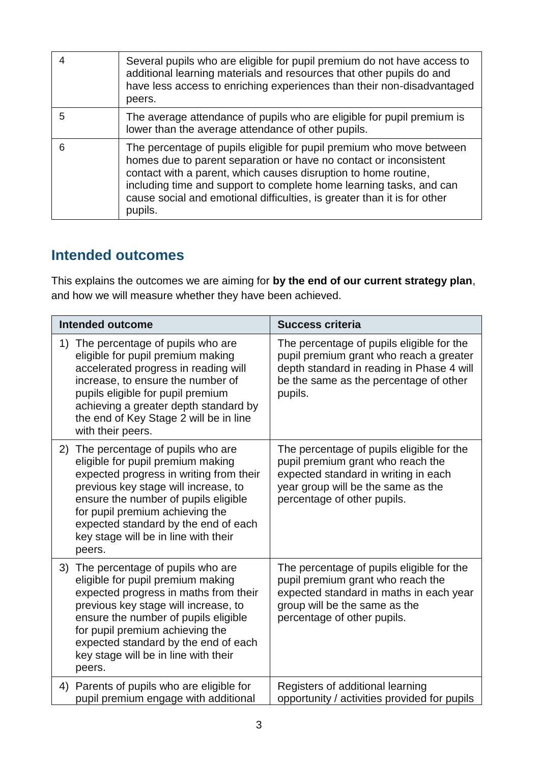|   | Several pupils who are eligible for pupil premium do not have access to<br>additional learning materials and resources that other pupils do and<br>have less access to enriching experiences than their non-disadvantaged<br>peers.                                                                                                                                        |
|---|----------------------------------------------------------------------------------------------------------------------------------------------------------------------------------------------------------------------------------------------------------------------------------------------------------------------------------------------------------------------------|
| 5 | The average attendance of pupils who are eligible for pupil premium is<br>lower than the average attendance of other pupils.                                                                                                                                                                                                                                               |
| 6 | The percentage of pupils eligible for pupil premium who move between<br>homes due to parent separation or have no contact or inconsistent<br>contact with a parent, which causes disruption to home routine,<br>including time and support to complete home learning tasks, and can<br>cause social and emotional difficulties, is greater than it is for other<br>pupils. |

#### **Intended outcomes**

This explains the outcomes we are aiming for **by the end of our current strategy plan**, and how we will measure whether they have been achieved.

| <b>Intended outcome</b>                                                                                                                                                                                                                                                                                                             | <b>Success criteria</b>                                                                                                                                                                     |  |
|-------------------------------------------------------------------------------------------------------------------------------------------------------------------------------------------------------------------------------------------------------------------------------------------------------------------------------------|---------------------------------------------------------------------------------------------------------------------------------------------------------------------------------------------|--|
| The percentage of pupils who are<br>1)<br>eligible for pupil premium making<br>accelerated progress in reading will<br>increase, to ensure the number of<br>pupils eligible for pupil premium<br>achieving a greater depth standard by<br>the end of Key Stage 2 will be in line<br>with their peers.                               | The percentage of pupils eligible for the<br>pupil premium grant who reach a greater<br>depth standard in reading in Phase 4 will<br>be the same as the percentage of other<br>pupils.      |  |
| The percentage of pupils who are<br>2)<br>eligible for pupil premium making<br>expected progress in writing from their<br>previous key stage will increase, to<br>ensure the number of pupils eligible<br>for pupil premium achieving the<br>expected standard by the end of each<br>key stage will be in line with their<br>peers. | The percentage of pupils eligible for the<br>pupil premium grant who reach the<br>expected standard in writing in each<br>year group will be the same as the<br>percentage of other pupils. |  |
| The percentage of pupils who are<br>3)<br>eligible for pupil premium making<br>expected progress in maths from their<br>previous key stage will increase, to<br>ensure the number of pupils eligible<br>for pupil premium achieving the<br>expected standard by the end of each<br>key stage will be in line with their<br>peers.   | The percentage of pupils eligible for the<br>pupil premium grant who reach the<br>expected standard in maths in each year<br>group will be the same as the<br>percentage of other pupils.   |  |
| Parents of pupils who are eligible for<br>4)<br>pupil premium engage with additional                                                                                                                                                                                                                                                | Registers of additional learning<br>opportunity / activities provided for pupils                                                                                                            |  |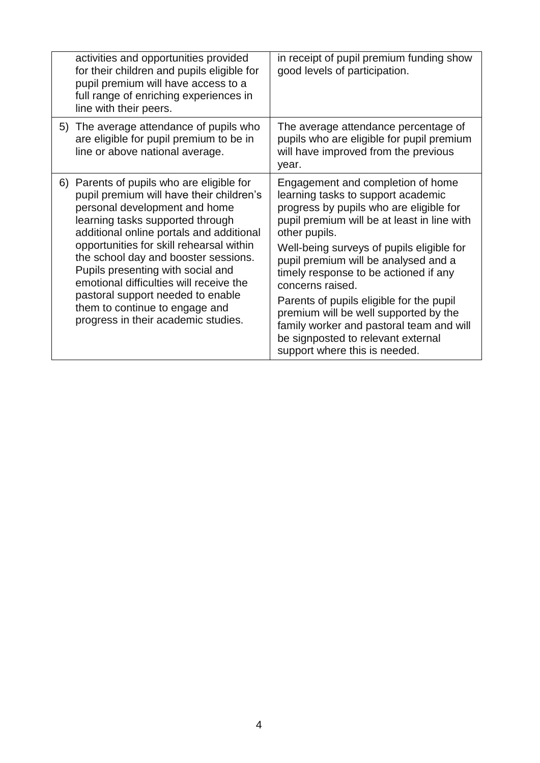| activities and opportunities provided<br>for their children and pupils eligible for<br>pupil premium will have access to a<br>full range of enriching experiences in<br>line with their peers.                                                                                                                                                                                                                                                                                           | in receipt of pupil premium funding show<br>good levels of participation.                                                                                                                                                                                                                                                                                                                                                                                                                                                                    |
|------------------------------------------------------------------------------------------------------------------------------------------------------------------------------------------------------------------------------------------------------------------------------------------------------------------------------------------------------------------------------------------------------------------------------------------------------------------------------------------|----------------------------------------------------------------------------------------------------------------------------------------------------------------------------------------------------------------------------------------------------------------------------------------------------------------------------------------------------------------------------------------------------------------------------------------------------------------------------------------------------------------------------------------------|
| 5) The average attendance of pupils who<br>are eligible for pupil premium to be in<br>line or above national average.                                                                                                                                                                                                                                                                                                                                                                    | The average attendance percentage of<br>pupils who are eligible for pupil premium<br>will have improved from the previous<br>year.                                                                                                                                                                                                                                                                                                                                                                                                           |
| 6) Parents of pupils who are eligible for<br>pupil premium will have their children's<br>personal development and home<br>learning tasks supported through<br>additional online portals and additional<br>opportunities for skill rehearsal within<br>the school day and booster sessions.<br>Pupils presenting with social and<br>emotional difficulties will receive the<br>pastoral support needed to enable<br>them to continue to engage and<br>progress in their academic studies. | Engagement and completion of home<br>learning tasks to support academic<br>progress by pupils who are eligible for<br>pupil premium will be at least in line with<br>other pupils.<br>Well-being surveys of pupils eligible for<br>pupil premium will be analysed and a<br>timely response to be actioned if any<br>concerns raised.<br>Parents of pupils eligible for the pupil<br>premium will be well supported by the<br>family worker and pastoral team and will<br>be signposted to relevant external<br>support where this is needed. |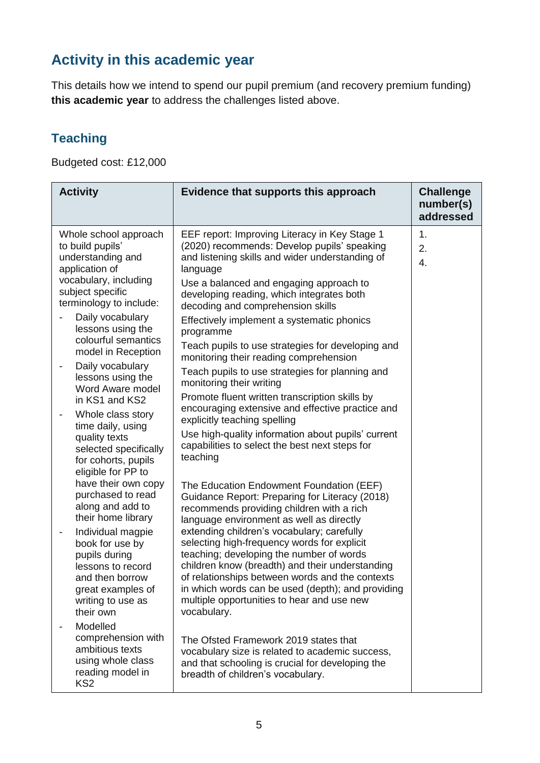## **Activity in this academic year**

This details how we intend to spend our pupil premium (and recovery premium funding) **this academic year** to address the challenges listed above.

#### **Teaching**

Budgeted cost: £12,000

| <b>Activity</b>                                                                                                                                           | Evidence that supports this approach                                                                                                                                                                                                                                                                                                                          | <b>Challenge</b><br>number(s)<br>addressed |
|-----------------------------------------------------------------------------------------------------------------------------------------------------------|---------------------------------------------------------------------------------------------------------------------------------------------------------------------------------------------------------------------------------------------------------------------------------------------------------------------------------------------------------------|--------------------------------------------|
| Whole school approach<br>to build pupils'<br>understanding and<br>application of<br>vocabulary, including<br>subject specific<br>terminology to include:  | EEF report: Improving Literacy in Key Stage 1<br>(2020) recommends: Develop pupils' speaking<br>and listening skills and wider understanding of<br>language<br>Use a balanced and engaging approach to<br>developing reading, which integrates both<br>decoding and comprehension skills                                                                      | 1.<br>2.<br>4.                             |
| Daily vocabulary<br>lessons using the<br>colourful semantics<br>model in Reception                                                                        | Effectively implement a systematic phonics<br>programme<br>Teach pupils to use strategies for developing and                                                                                                                                                                                                                                                  |                                            |
| Daily vocabulary<br>-<br>lessons using the<br>Word Aware model<br>in KS1 and KS2                                                                          | monitoring their reading comprehension<br>Teach pupils to use strategies for planning and<br>monitoring their writing<br>Promote fluent written transcription skills by                                                                                                                                                                                       |                                            |
| Whole class story<br>$\overline{\phantom{a}}$<br>time daily, using<br>quality texts<br>selected specifically<br>for cohorts, pupils<br>eligible for PP to | encouraging extensive and effective practice and<br>explicitly teaching spelling<br>Use high-quality information about pupils' current<br>capabilities to select the best next steps for<br>teaching                                                                                                                                                          |                                            |
| have their own copy<br>purchased to read<br>along and add to<br>their home library                                                                        | The Education Endowment Foundation (EEF)<br>Guidance Report: Preparing for Literacy (2018)<br>recommends providing children with a rich<br>language environment as well as directly                                                                                                                                                                           |                                            |
| Individual magpie<br>-<br>book for use by<br>pupils during<br>lessons to record<br>and then borrow<br>great examples of<br>writing to use as<br>their own | extending children's vocabulary; carefully<br>selecting high-frequency words for explicit<br>teaching; developing the number of words<br>children know (breadth) and their understanding<br>of relationships between words and the contexts<br>in which words can be used (depth); and providing<br>multiple opportunities to hear and use new<br>vocabulary. |                                            |
| Modelled<br>comprehension with<br>ambitious texts<br>using whole class<br>reading model in<br>KS <sub>2</sub>                                             | The Ofsted Framework 2019 states that<br>vocabulary size is related to academic success,<br>and that schooling is crucial for developing the<br>breadth of children's vocabulary.                                                                                                                                                                             |                                            |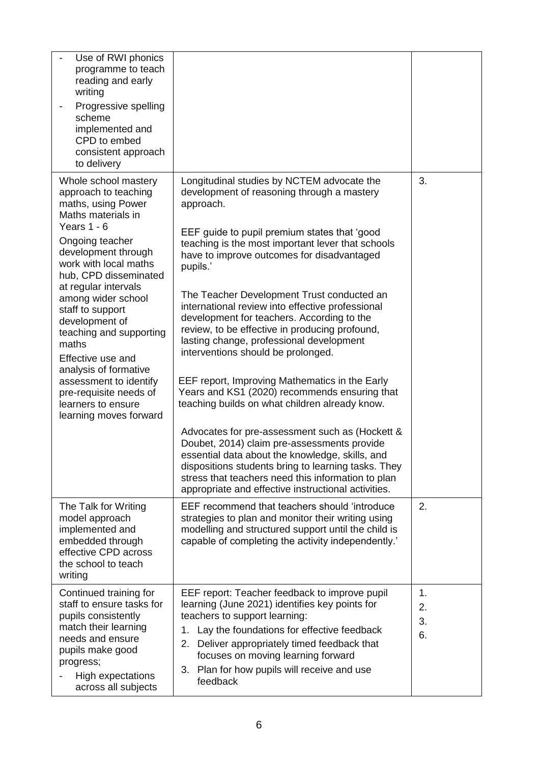| Use of RWI phonics<br>programme to teach<br>reading and early<br>writing<br>Progressive spelling<br>scheme<br>implemented and<br>CPD to embed<br>consistent approach<br>to delivery                                                                                                                                                                                                                                                                                           |                                                                                                                                                                                                                                                                                                                                                                                                                                                                                                                                                                                                                                                                                                                                                                                                                                                                                                                                                                                                                                        |                      |
|-------------------------------------------------------------------------------------------------------------------------------------------------------------------------------------------------------------------------------------------------------------------------------------------------------------------------------------------------------------------------------------------------------------------------------------------------------------------------------|----------------------------------------------------------------------------------------------------------------------------------------------------------------------------------------------------------------------------------------------------------------------------------------------------------------------------------------------------------------------------------------------------------------------------------------------------------------------------------------------------------------------------------------------------------------------------------------------------------------------------------------------------------------------------------------------------------------------------------------------------------------------------------------------------------------------------------------------------------------------------------------------------------------------------------------------------------------------------------------------------------------------------------------|----------------------|
| Whole school mastery<br>approach to teaching<br>maths, using Power<br>Maths materials in<br>Years 1 - 6<br>Ongoing teacher<br>development through<br>work with local maths<br>hub, CPD disseminated<br>at regular intervals<br>among wider school<br>staff to support<br>development of<br>teaching and supporting<br>maths<br>Effective use and<br>analysis of formative<br>assessment to identify<br>pre-requisite needs of<br>learners to ensure<br>learning moves forward | Longitudinal studies by NCTEM advocate the<br>development of reasoning through a mastery<br>approach.<br>EEF guide to pupil premium states that 'good<br>teaching is the most important lever that schools<br>have to improve outcomes for disadvantaged<br>pupils.'<br>The Teacher Development Trust conducted an<br>international review into effective professional<br>development for teachers. According to the<br>review, to be effective in producing profound,<br>lasting change, professional development<br>interventions should be prolonged.<br>EEF report, Improving Mathematics in the Early<br>Years and KS1 (2020) recommends ensuring that<br>teaching builds on what children already know.<br>Advocates for pre-assessment such as (Hockett &<br>Doubet, 2014) claim pre-assessments provide<br>essential data about the knowledge, skills, and<br>dispositions students bring to learning tasks. They<br>stress that teachers need this information to plan<br>appropriate and effective instructional activities. | 3.                   |
| The Talk for Writing<br>model approach<br>implemented and<br>embedded through<br>effective CPD across<br>the school to teach<br>writing                                                                                                                                                                                                                                                                                                                                       | EEF recommend that teachers should 'introduce<br>strategies to plan and monitor their writing using<br>modelling and structured support until the child is<br>capable of completing the activity independently.'                                                                                                                                                                                                                                                                                                                                                                                                                                                                                                                                                                                                                                                                                                                                                                                                                       | 2.                   |
| Continued training for<br>staff to ensure tasks for<br>pupils consistently<br>match their learning<br>needs and ensure<br>pupils make good<br>progress;<br>High expectations<br>across all subjects                                                                                                                                                                                                                                                                           | EEF report: Teacher feedback to improve pupil<br>learning (June 2021) identifies key points for<br>teachers to support learning:<br>Lay the foundations for effective feedback<br>1.<br>Deliver appropriately timed feedback that<br>2.<br>focuses on moving learning forward<br>Plan for how pupils will receive and use<br>3.<br>feedback                                                                                                                                                                                                                                                                                                                                                                                                                                                                                                                                                                                                                                                                                            | 1.<br>2.<br>3.<br>6. |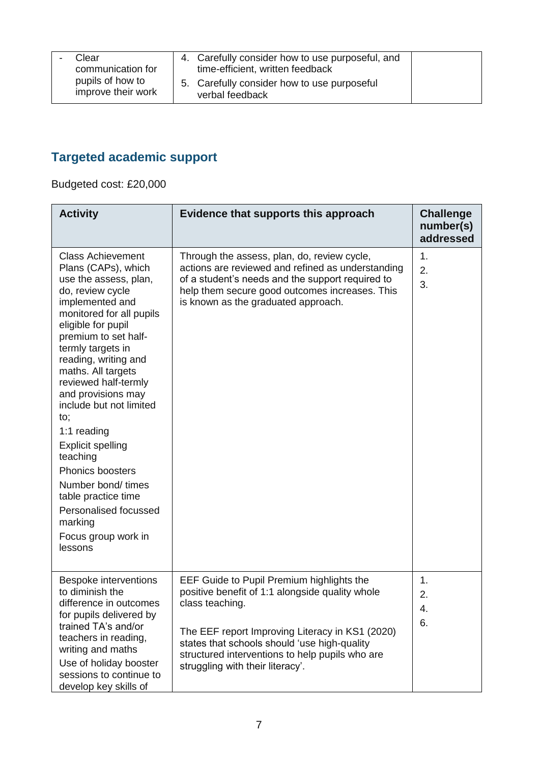| Clear                                  | 4. Carefully consider how to use purposeful, and               |  |
|----------------------------------------|----------------------------------------------------------------|--|
| communication for                      | time-efficient, written feedback                               |  |
| pupils of how to<br>improve their work | 5. Carefully consider how to use purposeful<br>verbal feedback |  |

# **Targeted academic support**

Budgeted cost: £20,000

| <b>Activity</b>                                                                                                                                                                                                                                                                                                                                                                                                                                                                                                                                   | Evidence that supports this approach                                                                                                                                                                                                                                                                      | <b>Challenge</b><br>number(s)<br>addressed |
|---------------------------------------------------------------------------------------------------------------------------------------------------------------------------------------------------------------------------------------------------------------------------------------------------------------------------------------------------------------------------------------------------------------------------------------------------------------------------------------------------------------------------------------------------|-----------------------------------------------------------------------------------------------------------------------------------------------------------------------------------------------------------------------------------------------------------------------------------------------------------|--------------------------------------------|
| <b>Class Achievement</b><br>Plans (CAPs), which<br>use the assess, plan,<br>do, review cycle<br>implemented and<br>monitored for all pupils<br>eligible for pupil<br>premium to set half-<br>termly targets in<br>reading, writing and<br>maths. All targets<br>reviewed half-termly<br>and provisions may<br>include but not limited<br>to;<br>1:1 reading<br><b>Explicit spelling</b><br>teaching<br><b>Phonics boosters</b><br>Number bond/ times<br>table practice time<br>Personalised focussed<br>marking<br>Focus group work in<br>lessons | Through the assess, plan, do, review cycle,<br>actions are reviewed and refined as understanding<br>of a student's needs and the support required to<br>help them secure good outcomes increases. This<br>is known as the graduated approach.                                                             | 1.<br>2.<br>3.                             |
| <b>Bespoke interventions</b><br>to diminish the<br>difference in outcomes<br>for pupils delivered by<br>trained TA's and/or<br>teachers in reading,<br>writing and maths<br>Use of holiday booster<br>sessions to continue to<br>develop key skills of                                                                                                                                                                                                                                                                                            | EEF Guide to Pupil Premium highlights the<br>positive benefit of 1:1 alongside quality whole<br>class teaching.<br>The EEF report Improving Literacy in KS1 (2020)<br>states that schools should 'use high-quality<br>structured interventions to help pupils who are<br>struggling with their literacy'. | 1.<br>2.<br>4.<br>6.                       |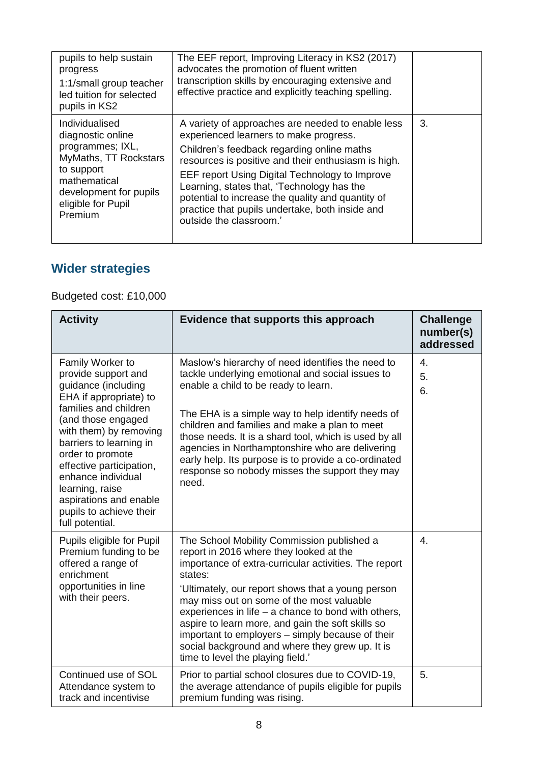| pupils to help sustain<br>progress<br>1:1/small group teacher<br>led tuition for selected<br>pupils in KS2                                                                | The EEF report, Improving Literacy in KS2 (2017)<br>advocates the promotion of fluent written<br>transcription skills by encouraging extensive and<br>effective practice and explicitly teaching spelling.                                                                                                                                                                                                                          |    |
|---------------------------------------------------------------------------------------------------------------------------------------------------------------------------|-------------------------------------------------------------------------------------------------------------------------------------------------------------------------------------------------------------------------------------------------------------------------------------------------------------------------------------------------------------------------------------------------------------------------------------|----|
| Individualised<br>diagnostic online<br>programmes; IXL,<br>MyMaths, TT Rockstars<br>to support<br>mathematical<br>development for pupils<br>eligible for Pupil<br>Premium | A variety of approaches are needed to enable less<br>experienced learners to make progress.<br>Children's feedback regarding online maths<br>resources is positive and their enthusiasm is high.<br>EEF report Using Digital Technology to Improve<br>Learning, states that, 'Technology has the<br>potential to increase the quality and quantity of<br>practice that pupils undertake, both inside and<br>outside the classroom.' | 3. |

### **Wider strategies**

#### Budgeted cost: £10,000

| <b>Activity</b>                                                                                                                                                                                                                                                                                                                                               | Evidence that supports this approach                                                                                                                                                                                                                                                                                                                                                                                                                                                                                  | <b>Challenge</b><br>number(s)<br>addressed |
|---------------------------------------------------------------------------------------------------------------------------------------------------------------------------------------------------------------------------------------------------------------------------------------------------------------------------------------------------------------|-----------------------------------------------------------------------------------------------------------------------------------------------------------------------------------------------------------------------------------------------------------------------------------------------------------------------------------------------------------------------------------------------------------------------------------------------------------------------------------------------------------------------|--------------------------------------------|
| Family Worker to<br>provide support and<br>guidance (including<br>EHA if appropriate) to<br>families and children<br>(and those engaged<br>with them) by removing<br>barriers to learning in<br>order to promote<br>effective participation,<br>enhance individual<br>learning, raise<br>aspirations and enable<br>pupils to achieve their<br>full potential. | Maslow's hierarchy of need identifies the need to<br>tackle underlying emotional and social issues to<br>enable a child to be ready to learn.<br>The EHA is a simple way to help identify needs of<br>children and families and make a plan to meet<br>those needs. It is a shard tool, which is used by all<br>agencies in Northamptonshire who are delivering<br>early help. Its purpose is to provide a co-ordinated<br>response so nobody misses the support they may<br>need.                                    | 4.<br>5.<br>6.                             |
| Pupils eligible for Pupil<br>Premium funding to be<br>offered a range of<br>enrichment<br>opportunities in line<br>with their peers.                                                                                                                                                                                                                          | The School Mobility Commission published a<br>report in 2016 where they looked at the<br>importance of extra-curricular activities. The report<br>states:<br>'Ultimately, our report shows that a young person<br>may miss out on some of the most valuable<br>experiences in life $-$ a chance to bond with others,<br>aspire to learn more, and gain the soft skills so<br>important to employers – simply because of their<br>social background and where they grew up. It is<br>time to level the playing field.' | 4.                                         |
| Continued use of SOL<br>Attendance system to<br>track and incentivise                                                                                                                                                                                                                                                                                         | Prior to partial school closures due to COVID-19,<br>the average attendance of pupils eligible for pupils<br>premium funding was rising.                                                                                                                                                                                                                                                                                                                                                                              | 5.                                         |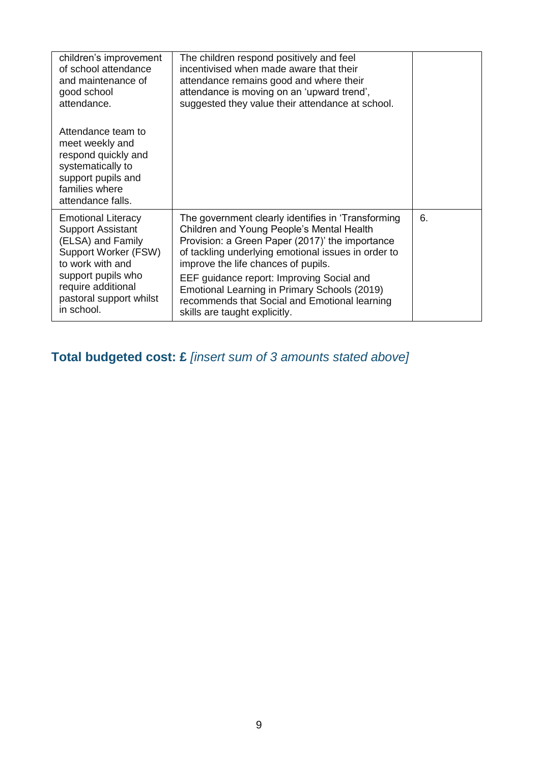| children's improvement<br>of school attendance<br>and maintenance of<br>good school<br>attendance.                                             | The children respond positively and feel<br>incentivised when made aware that their<br>attendance remains good and where their<br>attendance is moving on an 'upward trend',<br>suggested they value their attendance at school.                 |    |
|------------------------------------------------------------------------------------------------------------------------------------------------|--------------------------------------------------------------------------------------------------------------------------------------------------------------------------------------------------------------------------------------------------|----|
| Attendance team to<br>meet weekly and<br>respond quickly and<br>systematically to<br>support pupils and<br>families where<br>attendance falls. |                                                                                                                                                                                                                                                  |    |
| <b>Emotional Literacy</b><br><b>Support Assistant</b><br>(ELSA) and Family<br>Support Worker (FSW)<br>to work with and                         | The government clearly identifies in 'Transforming<br>Children and Young People's Mental Health<br>Provision: a Green Paper (2017)' the importance<br>of tackling underlying emotional issues in order to<br>improve the life chances of pupils. | 6. |
| support pupils who<br>require additional<br>pastoral support whilst<br>in school.                                                              | EEF guidance report: Improving Social and<br>Emotional Learning in Primary Schools (2019)<br>recommends that Social and Emotional learning<br>skills are taught explicitly.                                                                      |    |

**Total budgeted cost: £** *[insert sum of 3 amounts stated above]*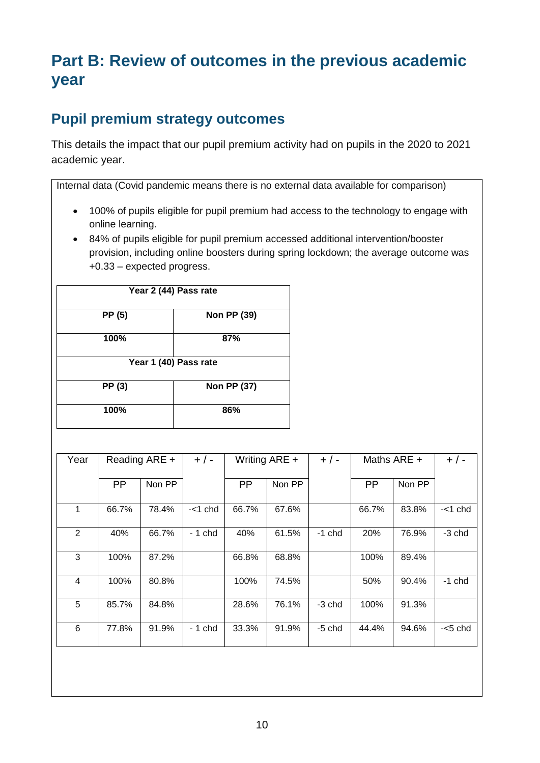# **Part B: Review of outcomes in the previous academic year**

#### **Pupil premium strategy outcomes**

This details the impact that our pupil premium activity had on pupils in the 2020 to 2021 academic year.

Internal data (Covid pandemic means there is no external data available for comparison)

- 100% of pupils eligible for pupil premium had access to the technology to engage with online learning.
- 84% of pupils eligible for pupil premium accessed additional intervention/booster provision, including online boosters during spring lockdown; the average outcome was +0.33 – expected progress.

| Year 2 (44) Pass rate |                    |  |  |  |
|-----------------------|--------------------|--|--|--|
| PP (5)                | <b>Non PP (39)</b> |  |  |  |
| 100%                  | 87%                |  |  |  |
| Year 1 (40) Pass rate |                    |  |  |  |
| PP (3)                | Non PP (37)        |  |  |  |
| 100%                  | 86%                |  |  |  |

| Year           |           | Reading ARE + | $+$ / -    |           | Writing ARE + | $+/-$    |           | Maths ARE $+$ | $+/-$      |
|----------------|-----------|---------------|------------|-----------|---------------|----------|-----------|---------------|------------|
|                | <b>PP</b> | Non PP        |            | <b>PP</b> | Non PP        |          | <b>PP</b> | Non PP        |            |
| 1              | 66.7%     | 78.4%         | $-<$ 1 chd | 66.7%     | 67.6%         |          | 66.7%     | 83.8%         | $-<$ 1 chd |
| $\overline{2}$ | 40%       | 66.7%         | $-1$ chd   | 40%       | 61.5%         | $-1$ chd | 20%       | 76.9%         | -3 chd     |
| 3              | 100%      | 87.2%         |            | 66.8%     | 68.8%         |          | 100%      | 89.4%         |            |
| 4              | 100%      | 80.8%         |            | 100%      | 74.5%         |          | 50%       | 90.4%         | $-1$ chd   |
| 5              | 85.7%     | 84.8%         |            | 28.6%     | 76.1%         | $-3$ chd | 100%      | 91.3%         |            |
| 6              | 77.8%     | 91.9%         | - 1 chd    | 33.3%     | 91.9%         | $-5$ chd | 44.4%     | 94.6%         | $-5$ chd   |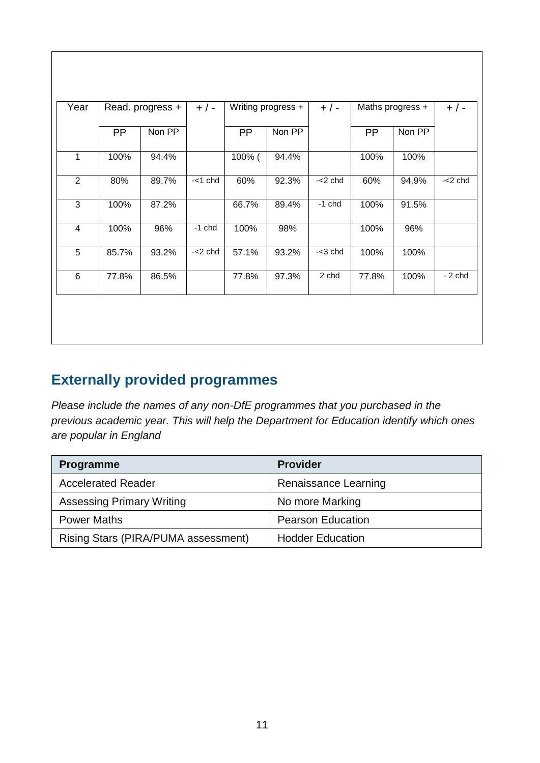| Writing progress +<br>Maths progress +<br>$+/-$<br>$+/-$        |        | $+$ / -   | Read. progress + |           | Year           |
|-----------------------------------------------------------------|--------|-----------|------------------|-----------|----------------|
| Non PP<br><b>PP</b><br><b>PP</b><br>Non PP                      |        |           | Non PP           | <b>PP</b> |                |
| 94.4%<br>100%<br>100%                                           | 100% ( |           | 94.4%            | 100%      | 1              |
| $\overline{-2}$ chd<br>$-2$ chd<br>92.3%<br>60%<br>94.9%<br>60% |        | $-<1$ chd | 89.7%            | 80%       | $\overline{2}$ |
| $-1$ chd<br>100%<br>91.5%<br>89.4%                              | 66.7%  |           | 87.2%            | 100%      | 3              |
| 96%<br>100%<br>98%<br>100%                                      |        | $-1$ chd  | 96%              | 100%      | $\overline{4}$ |
| $-3$ chd<br>57.1%<br>93.2%<br>100%<br>100%                      |        | $-2$ chd  | 93.2%            | 85.7%     | 5              |
| 2 chd<br>$-2$ chd<br>77.8%<br>97.3%<br>77.8%<br>100%            |        |           | 86.5%            | 77.8%     | 6              |

### **Externally provided programmes**

*Please include the names of any non-DfE programmes that you purchased in the previous academic year. This will help the Department for Education identify which ones are popular in England*

| <b>Programme</b>                    | <b>Provider</b>          |
|-------------------------------------|--------------------------|
| <b>Accelerated Reader</b>           | Renaissance Learning     |
| <b>Assessing Primary Writing</b>    | No more Marking          |
| <b>Power Maths</b>                  | <b>Pearson Education</b> |
| Rising Stars (PIRA/PUMA assessment) | <b>Hodder Education</b>  |